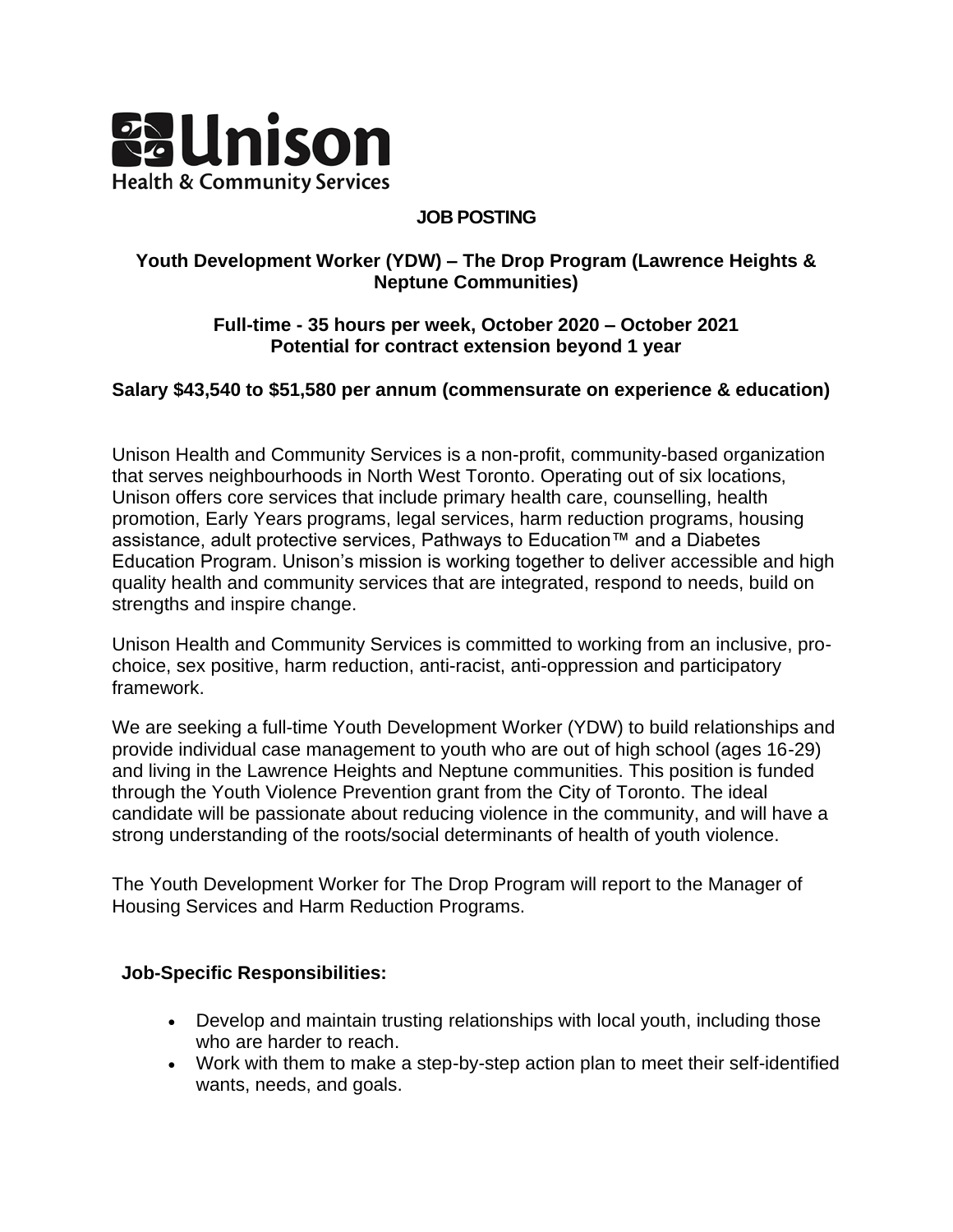

#### **JOB POSTING**

#### **Youth Development Worker (YDW) – The Drop Program (Lawrence Heights & Neptune Communities)**

### **Full-time - 35 hours per week, October 2020 – October 2021 Potential for contract extension beyond 1 year**

# **Salary \$43,540 to \$51,580 per annum (commensurate on experience & education)**

Unison Health and Community Services is a non-profit, community-based organization that serves neighbourhoods in North West Toronto. Operating out of six locations, Unison offers core services that include primary health care, counselling, health promotion, Early Years programs, legal services, harm reduction programs, housing assistance, adult protective services, Pathways to Education™ and a Diabetes Education Program. Unison's mission is working together to deliver accessible and high quality health and community services that are integrated, respond to needs, build on strengths and inspire change.

Unison Health and Community Services is committed to working from an inclusive, prochoice, sex positive, harm reduction, anti-racist, anti-oppression and participatory framework.

We are seeking a full-time Youth Development Worker (YDW) to build relationships and provide individual case management to youth who are out of high school (ages 16-29) and living in the Lawrence Heights and Neptune communities. This position is funded through the Youth Violence Prevention grant from the City of Toronto. The ideal candidate will be passionate about reducing violence in the community, and will have a strong understanding of the roots/social determinants of health of youth violence.

The Youth Development Worker for The Drop Program will report to the Manager of Housing Services and Harm Reduction Programs.

#### **Job-Specific Responsibilities:**

- Develop and maintain trusting relationships with local youth, including those who are harder to reach.
- Work with them to make a step-by-step action plan to meet their self-identified wants, needs, and goals.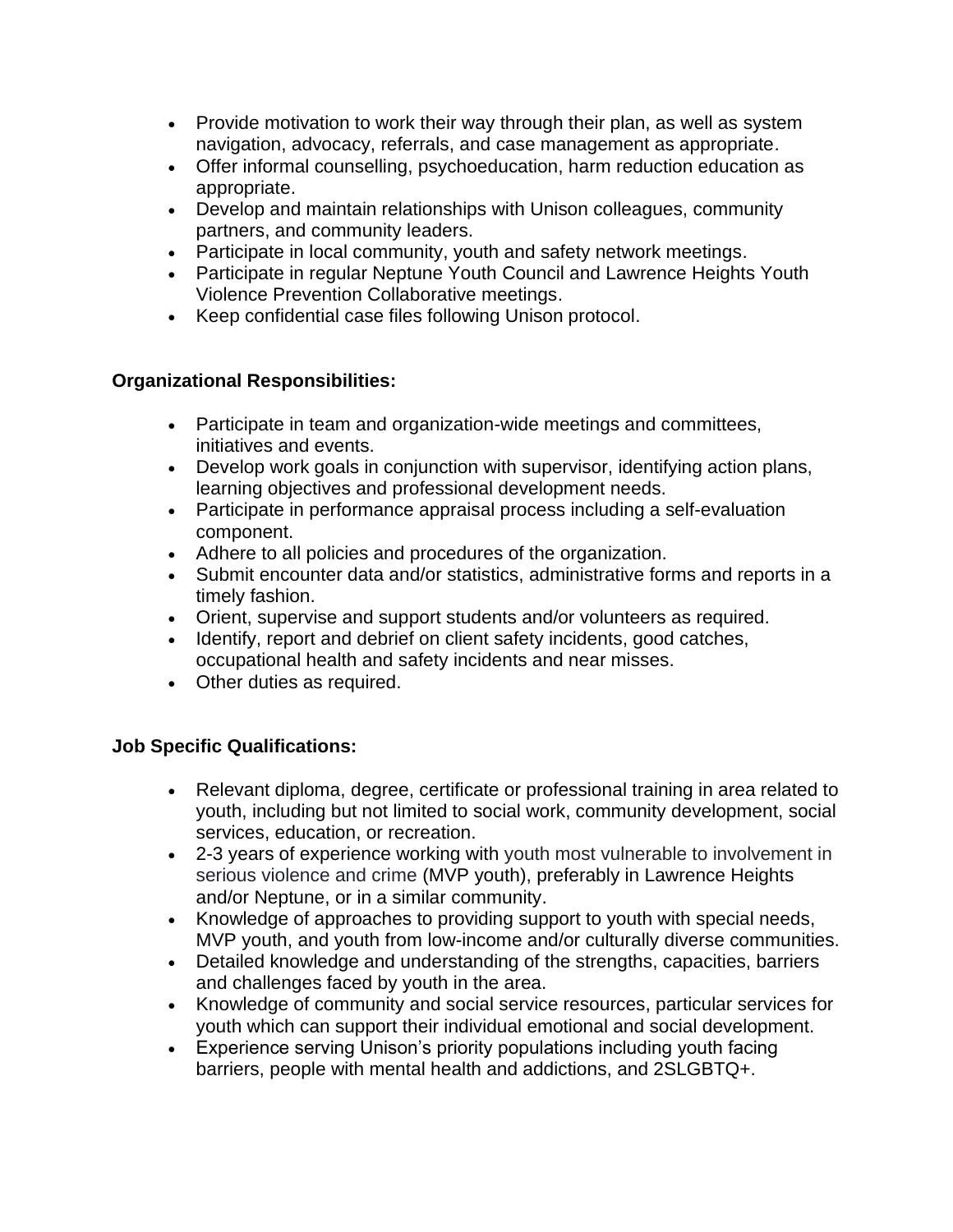- Provide motivation to work their way through their plan, as well as system navigation, advocacy, referrals, and case management as appropriate.
- Offer informal counselling, psychoeducation, harm reduction education as appropriate.
- Develop and maintain relationships with Unison colleagues, community partners, and community leaders.
- Participate in local community, youth and safety network meetings.
- Participate in regular Neptune Youth Council and Lawrence Heights Youth Violence Prevention Collaborative meetings.
- Keep confidential case files following Unison protocol.

# **Organizational Responsibilities:**

- Participate in team and organization-wide meetings and committees, initiatives and events.
- Develop work goals in conjunction with supervisor, identifying action plans, learning objectives and professional development needs.
- Participate in performance appraisal process including a self-evaluation component.
- Adhere to all policies and procedures of the organization.
- Submit encounter data and/or statistics, administrative forms and reports in a timely fashion.
- Orient, supervise and support students and/or volunteers as required.
- Identify, report and debrief on client safety incidents, good catches, occupational health and safety incidents and near misses.
- Other duties as required.

# **Job Specific Qualifications:**

- Relevant diploma, degree, certificate or professional training in area related to youth, including but not limited to social work, community development, social services, education, or recreation.
- 2-3 years of experience working with youth most vulnerable to involvement in serious violence and crime (MVP youth), preferably in Lawrence Heights and/or Neptune, or in a similar community.
- Knowledge of approaches to providing support to youth with special needs, MVP youth, and youth from low-income and/or culturally diverse communities.
- Detailed knowledge and understanding of the strengths, capacities, barriers and challenges faced by youth in the area.
- Knowledge of community and social service resources, particular services for youth which can support their individual emotional and social development.
- Experience serving Unison's priority populations including youth facing barriers, people with mental health and addictions, and 2SLGBTQ+.